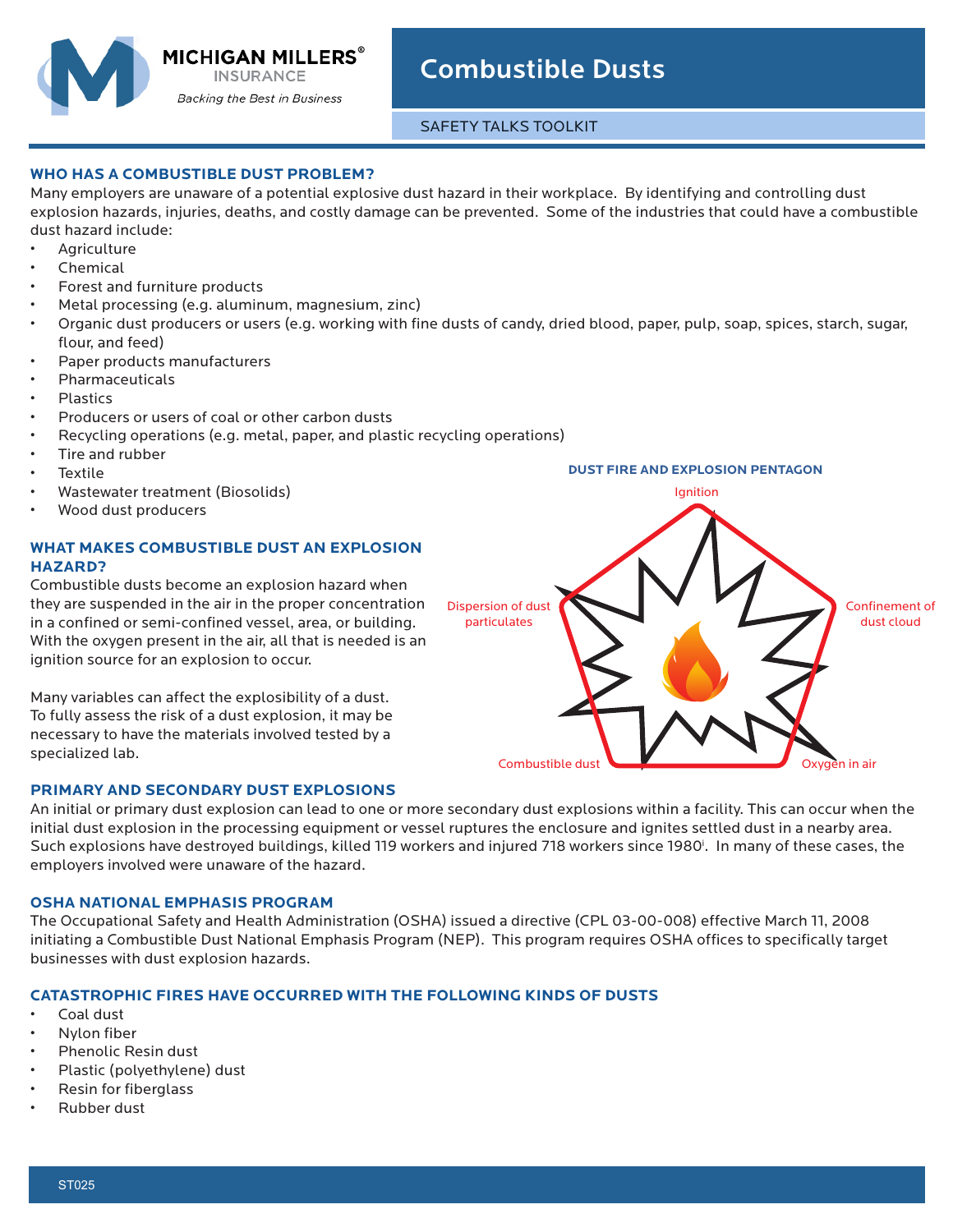

# Combustible Dusts

SAFETY TALKS TOOLKIT

## **WHO HAS A COMBUSTIBLE DUST PROBLEM?**

Many employers are unaware of a potential explosive dust hazard in their workplace. By identifying and controlling dust explosion hazards, injuries, deaths, and costly damage can be prevented. Some of the industries that could have a combustible dust hazard include:

- **Agriculture**
- Chemical
- Forest and furniture products
- Metal processing (e.g. aluminum, magnesium, zinc)
- Organic dust producers or users (e.g. working with fine dusts of candy, dried blood, paper, pulp, soap, spices, starch, sugar, flour, and feed)
- Paper products manufacturers
- Pharmaceuticals
- Plastics
- Producers or users of coal or other carbon dusts
- Recycling operations (e.g. metal, paper, and plastic recycling operations)
- Tire and rubber
- **Textile**
- Wastewater treatment (Biosolids)
- Wood dust producers

# **WHAT MAKES COMBUSTIBLE DUST AN EXPLOSION HAZARD?**

Combustible dusts become an explosion hazard when they are suspended in the air in the proper concentration in a confined or semi-confined vessel, area, or building. With the oxygen present in the air, all that is needed is an ignition source for an explosion to occur.

Many variables can affect the explosibility of a dust. To fully assess the risk of a dust explosion, it may be necessary to have the materials involved tested by a specialized lab.

### **PRIMARY AND SECONDARY DUST EXPLOSIONS**

An initial or primary dust explosion can lead to one or more secondary dust explosions within a facility. This can occur when the initial dust explosion in the processing equipment or vessel ruptures the enclosure and ignites settled dust in a nearby area. Such explosions have destroyed buildings, killed 119 workers and injured 718 workers since 1980<sup>1</sup>. In many of these cases, the employers involved were unaware of the hazard.

### **OSHA NATIONAL EMPHASIS PROGRAM**

The Occupational Safety and Health Administration (OSHA) issued a directive (CPL 03-00-008) effective March 11, 2008 initiating a Combustible Dust National Emphasis Program (NEP). This program requires OSHA offices to specifically target businesses with dust explosion hazards.

### **CATASTROPHIC FIRES HAVE OCCURRED WITH THE FOLLOWING KINDS OF DUSTS**

- Coal dust
- Nylon fiber
- Phenolic Resin dust
- Plastic (polyethylene) dust
- Resin for fiberglass
- Rubber dust